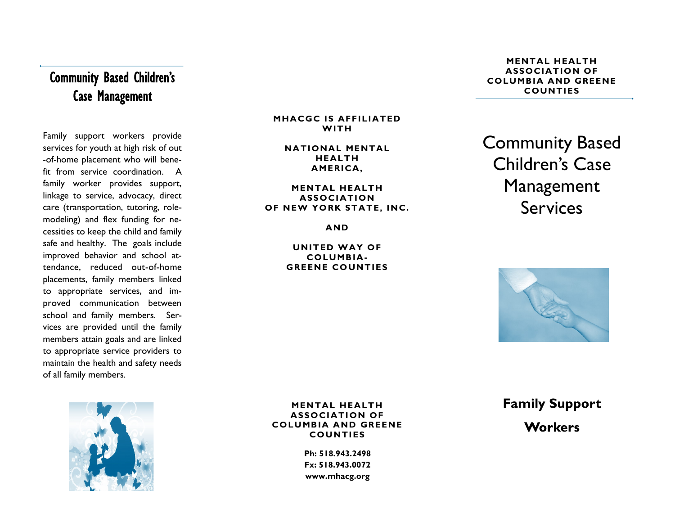# Community Based Children's Case Management

Family support workers provide services for youth at high risk of out -of-home placement who will benefit from service coordination. A family worker provides support, linkage to service, advocacy, direct care (transportation, tutoring, rolemodeling) and flex funding for necessities to keep the child and family safe and healthy. The goals include improved behavior and school attendance, reduced out-of-home placements, family members linked to appropriate services, and improved communication between school and family members. Services are provided until the family members attain goals and are linked to appropriate service providers to maintain the health and safety needs of all family members.



### **MHACGC IS AFFILIATED WITH**

### **NATIONAL MENTAL HEALTH AMERICA,**

### **MENTAL HEALTH ASSOCIATION OF NEW YORK STATE, INC.**

**AND** 

### **UNITED WAY OF COLUMBIA-GREENE COUNTIES**

### **MENTAL HEALTH ASSOCIATION OF COLUMBIA AND GREENE COUNTIES**

Community Based Children's Case Management Services



**MENTAL HEALTH ASSOCIATION OF COLUMBIA AND GREENE COUNTIES**

> **Ph: 518.943.2498 Fx: 518.943.0072 www.mhacg.org**

**Family Support** 

## **Workers**